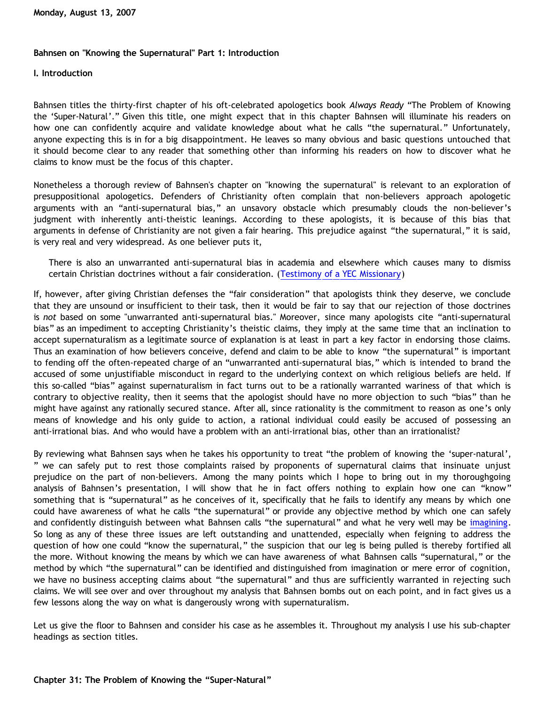## **Bahnsen on "Knowing the Supernatural" Part 1: Introduction**

## **I. Introduction**

Bahnsen titles the thirty-first chapter of his oft-celebrated apologetics book *Always Ready* "The Problem of Knowing the 'Super-Natural'." Given this title, one might expect that in this chapter Bahnsen will illuminate his readers on how one can confidently acquire and validate knowledge about what he calls "the supernatural." Unfortunately, anyone expecting this is in for a big disappointment. He leaves so many obvious and basic questions untouched that it should become clear to any reader that something other than informing his readers on how to discover what he claims to know must be the focus of this chapter.

Nonetheless a thorough review of Bahnsen's chapter on "knowing the supernatural" is relevant to an exploration of presuppositional apologetics. Defenders of Christianity often complain that non-believers approach apologetic arguments with an "anti-supernatural bias," an unsavory obstacle which presumably clouds the non-believer's judgment with inherently anti-theistic leanings. According to these apologists, it is because of this bias that arguments in defense of Christianity are not given a fair hearing. This prejudice against "the supernatural," it is said, is very real and very widespread. As one believer puts it,

There is also an unwarranted anti-supernatural bias in academia and elsewhere which causes many to dismiss certain Christian doctrines without a fair consideration. ([Testimony of a YEC Missionary](http://www.asa3.org/archive/ASA/199604/0018.html))

If, however, after giving Christian defenses the "fair consideration" that apologists think they deserve, we conclude that they are unsound or insufficient to their task, then it would be fair to say that our rejection of those doctrines is *not* based on some "unwarranted anti-supernatural bias." Moreover, since many apologists cite "anti-supernatural bias" as an impediment to accepting Christianity's theistic claims, they imply at the same time that an inclination to accept supernaturalism as a legitimate source of explanation is at least in part a key factor in endorsing those claims. Thus an examination of how believers conceive, defend and claim to be able to know "the supernatural" is important to fending off the often-repeated charge of an "unwarranted anti-supernatural bias," which is intended to brand the accused of some unjustifiable misconduct in regard to the underlying context on which religious beliefs are held. If this so-called "bias" against supernaturalism in fact turns out to be a rationally warranted wariness of that which is contrary to objective reality, then it seems that the apologist should have no more objection to such "bias" than he might have against any rationally secured stance. After all, since rationality is the commitment to reason as one's only means of knowledge and his only guide to action, a rational individual could easily be accused of possessing an anti-irrational bias. And who would have a problem with an anti-irrational bias, other than an irrationalist?

By reviewing what Bahnsen says when he takes his opportunity to treat "the problem of knowing the 'super-natural', " we can safely put to rest those complaints raised by proponents of supernatural claims that insinuate unjust prejudice on the part of non-believers. Among the many points which I hope to bring out in my thoroughgoing analysis of Bahnsen's presentation, I will show that he in fact offers nothing to explain how one can "know" something that is "supernatural" as he conceives of it, specifically that he fails to identify any means by which one could have awareness of what he calls "the supernatural" or provide any objective method by which one can safely and confidently distinguish between what Bahnsen calls "the supernatural" and what he very well may be [imagining](http://bahnsenburner.blogspot.com/2007/07/role-of-imagination-in-christian-god.html). So long as any of these three issues are left outstanding and unattended, especially when feigning to address the question of how one could "know the supernatural," the suspicion that our leg is being pulled is thereby fortified all the more. Without knowing the means by which we can have awareness of what Bahnsen calls "supernatural," or the method by which "the supernatural" can be identified and distinguished from imagination or mere error of cognition, we have no business accepting claims about "the supernatural" and thus are sufficiently warranted in rejecting such claims. We will see over and over throughout my analysis that Bahnsen bombs out on each point, and in fact gives us a few lessons along the way on what is dangerously wrong with supernaturalism.

Let us give the floor to Bahnsen and consider his case as he assembles it. Throughout my analysis I use his sub-chapter headings as section titles.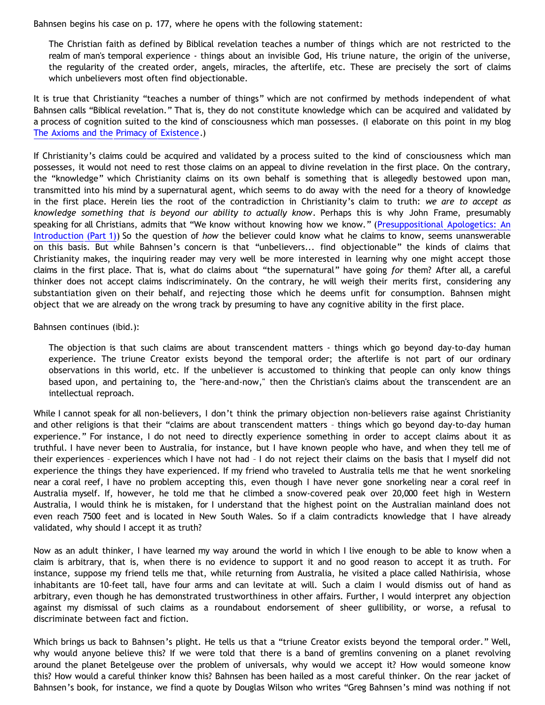Bahnsen begins his case on p. 177, where he opens with the following statement:

The Christian faith as defined by Biblical revelation teaches a number of things which are not restricted to the realm of man's temporal experience - things about an invisible God, His triune nature, the origin of the universe, the regularity of the created order, angels, miracles, the afterlife, etc. These are precisely the sort of claims which unbelievers most often find objectionable.

It is true that Christianity "teaches a number of things" which are not confirmed by methods independent of what Bahnsen calls "Biblical revelation." That is, they do not constitute knowledge which can be acquired and validated by a process of cognition suited to the kind of consciousness which man possesses. (I elaborate on this point in my blog [The Axioms and the Primacy of Existence.](http://bahnsenburner.blogspot.com/2006/12/axioms-and-primacy-of-existence.html))

If Christianity's claims could be acquired and validated by a process suited to the kind of consciousness which man possesses, it would not need to rest those claims on an appeal to divine revelation in the first place. On the contrary, the "knowledge" which Christianity claims on its own behalf is something that is allegedly bestowed upon man, transmitted into his mind by a supernatural agent, which seems to do away with the need for a theory of knowledge in the first place. Herein lies the root of the contradiction in Christianity's claim to truth: *we are to accept as knowledge something that is beyond our ability to actually know*. Perhaps this is why John Frame, presumably speaking for all Christians, admits that "We know without knowing how we know." ([Presuppositional Apologetics: An](http://www.thirdmill.org/files/english/html/pt/PT.h.Frame.Presupp.Apol.1.html) [Introduction \(Part 1\)](http://www.thirdmill.org/files/english/html/pt/PT.h.Frame.Presupp.Apol.1.html)) So the question of *how* the believer could know what he claims to know, seems unanswerable on this basis. But while Bahnsen's concern is that "unbelievers... find objectionable" the kinds of claims that Christianity makes, the inquiring reader may very well be more interested in learning why one might accept those claims in the first place. That is, what do claims about "the supernatural" have going *for* them? After all, a careful thinker does not accept claims indiscriminately. On the contrary, he will weigh their merits first, considering any substantiation given on their behalf, and rejecting those which he deems unfit for consumption. Bahnsen might object that we are already on the wrong track by presuming to have any cognitive ability in the first place.

Bahnsen continues (ibid.):

The objection is that such claims are about transcendent matters - things which go beyond day-to-day human experience. The triune Creator exists beyond the temporal order; the afterlife is not part of our ordinary observations in this world, etc. If the unbeliever is accustomed to thinking that people can only know things based upon, and pertaining to, the "here-and-now," then the Christian's claims about the transcendent are an intellectual reproach.

While I cannot speak for all non-believers, I don't think the primary objection non-believers raise against Christianity and other religions is that their "claims are about transcendent matters – things which go beyond day-to-day human experience." For instance, I do not need to directly experience something in order to accept claims about it as truthful. I have never been to Australia, for instance, but I have known people who have, and when they tell me of their experiences – experiences which I have not had – I do not reject their claims on the basis that I myself did not experience the things they have experienced. If my friend who traveled to Australia tells me that he went snorkeling near a coral reef, I have no problem accepting this, even though I have never gone snorkeling near a coral reef in Australia myself. If, however, he told me that he climbed a snow-covered peak over 20,000 feet high in Western Australia, I would think he is mistaken, for I understand that the highest point on the Australian mainland does not even reach 7500 feet and is located in New South Wales. So if a claim contradicts knowledge that I have already validated, why should I accept it as truth?

Now as an adult thinker, I have learned my way around the world in which I live enough to be able to know when a claim is arbitrary, that is, when there is no evidence to support it and no good reason to accept it as truth. For instance, suppose my friend tells me that, while returning from Australia, he visited a place called Nathirisia, whose inhabitants are 10-feet tall, have four arms and can levitate at will. Such a claim I would dismiss out of hand as arbitrary, even though he has demonstrated trustworthiness in other affairs. Further, I would interpret any objection against my dismissal of such claims as a roundabout endorsement of sheer gullibility, or worse, a refusal to discriminate between fact and fiction.

Which brings us back to Bahnsen's plight. He tells us that a "triune Creator exists beyond the temporal order." Well, why would anyone believe this? If we were told that there is a band of gremlins convening on a planet revolving around the planet Betelgeuse over the problem of universals, why would we accept it? How would someone know this? How would a careful thinker know this? Bahnsen has been hailed as a most careful thinker. On the rear jacket of Bahnsen's book, for instance, we find a quote by Douglas Wilson who writes "Greg Bahnsen's mind was nothing if not